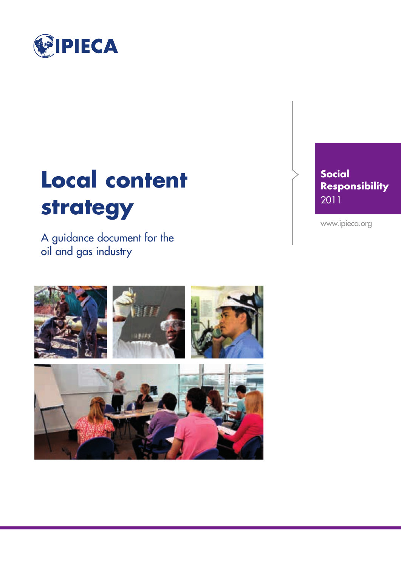

## **Local content strategy**

A guidance document for the oil and gas industry



**Social Responsibility** 2011

www.ipieca.org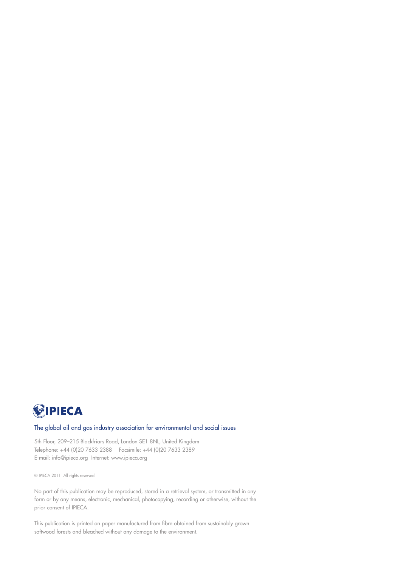

#### The global oil and gas industry association for environmental and social issues

5th Floor, 209–215 Blackfriars Road, London SE1 8NL, United Kingdom Telephone: +44 (0)20 7633 2388 Facsimile: +44 (0)20 7633 2389 E-mail: info@ipieca.org Internet: www.ipieca.org

© IPIECA 2011 All rights reserved.

No part of this publication may be reproduced, stored in a retrieval system, or transmitted in any form or by any means, electronic, mechanical, photocopying, recording or otherwise, without the prior consent of IPIECA.

This publication is printed on paper manufactured from fibre obtained from sustainably grown softwood forests and bleached without any damage to the environment.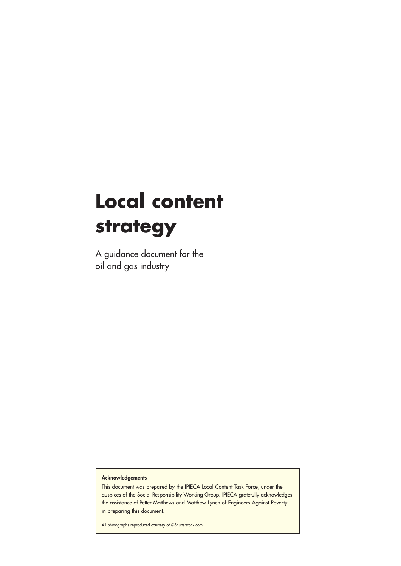## **Local content strategy**

A guidance document for the oil and gas industry

**Acknowledgements**

This document was prepared by the IPIECA Local Content Task Force, under the auspices of the Social Responsibility Working Group. IPIECA gratefully acknowledges the assistance of Petter Matthews and Matthew Lynch of Engineers Against Poverty in preparing this document.

All photographs reproduced courtesy of ©Shutterstock.com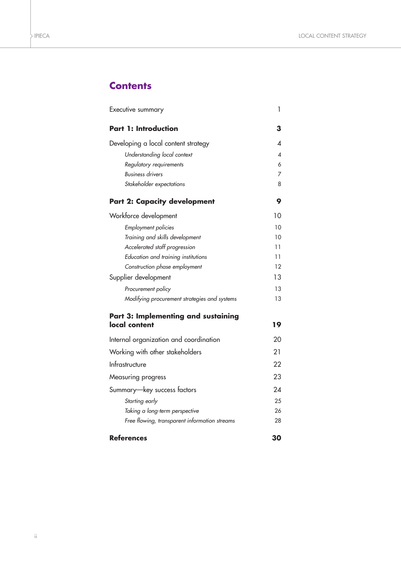### **Contents**

| Executive summary                                    | 1  |
|------------------------------------------------------|----|
| <b>Part 1: Introduction</b>                          | З  |
| Developing a local content strategy                  | ◢  |
| Understanding local context                          | 4  |
| Regulatory requirements                              | 6  |
| <b>Business drivers</b>                              | 7  |
| Stakeholder expectations                             | 8  |
| <b>Part 2: Capacity development</b>                  | 9  |
| Workforce development                                | 10 |
| Employment policies                                  | 10 |
| Training and skills development                      | 10 |
| Accelerated staff progression                        | 11 |
| Education and training institutions                  | 11 |
| Construction phase employment                        | 12 |
| Supplier development                                 | 13 |
| Procurement policy                                   | 13 |
| Modifying procurement strategies and systems         | 13 |
| Part 3: Implementing and sustaining<br>local content | 19 |
| Internal organization and coordination               | 20 |
| Working with other stakeholders                      | 21 |
| Infrastructure                                       | 22 |
| Measuring progress                                   | 23 |
| Summary-key success factors                          | 2Δ |
| Starting early                                       | 25 |
| Taking a long-term perspective                       | 26 |
| Free flowing, transparent information streams        | 28 |
| <b>References</b>                                    | 30 |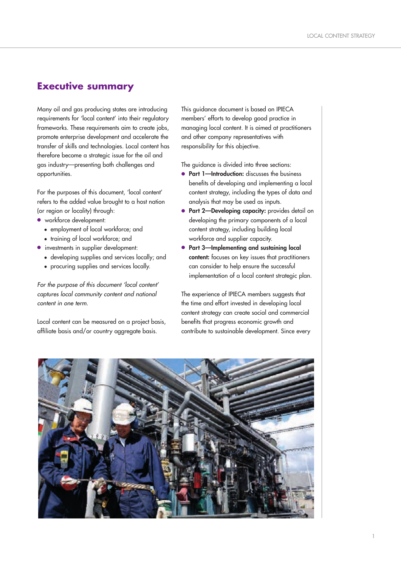## **Executive summary**

Many oil and gas producing states are introducing requirements for 'local content' into their regulatory frameworks. These requirements aim to create jobs, promote enterprise development and accelerate the transfer of skills and technologies. Local content has therefore become a strategic issue for the oil and gas industry—presenting both challenges and opportunities.

For the purposes of this document, 'local content' refers to the added value brought to a host nation (or region or locality) through:

- **●** workforce development:
	- employment of local workforce; and
	- training of local workforce; and
- **●** investments in supplier development:
	- developing supplies and services locally; and
	- procuring supplies and services locally.

*For the purpose of this document 'local content' captures local community content and national content in one term.* 

Local content can be measured on a project basis, affiliate basis and/or country aggregate basis.

This guidance document is based on IPIECA members' efforts to develop good practice in managing local content. It is aimed at practitioners and other company representatives with responsibility for this objective.

The guidance is divided into three sections:

- **● Part 1—Introduction:** discusses the business benefits of developing and implementing a local content strategy, including the types of data and analysis that may be used as inputs.
- **● Part 2—Developing capacity:** provides detail on developing the primary components of a local content strategy, including building local workforce and supplier capacity.
- **● Part 3—Implementing and sustaining local content:** focuses on key issues that practitioners can consider to help ensure the successful implementation of a local content strategic plan.

The experience of IPIECA members suggests that the time and effort invested in developing local content strategy can create social and commercial benefits that progress economic growth and contribute to sustainable development. Since every

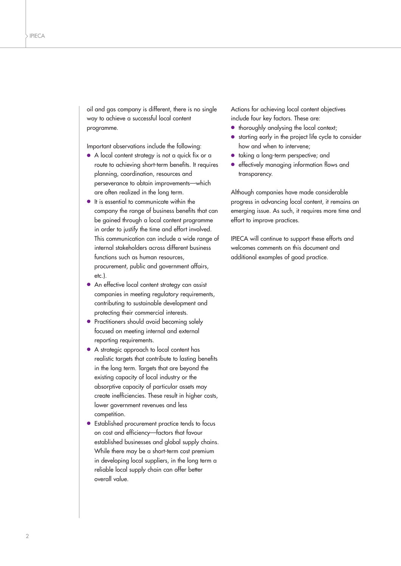oil and gas company is different, there is no single way to achieve a successful local content programme.

Important observations include the following:

- **●** A local content strategy is not a quick fix or a route to achieving short-term benefits. It requires planning, coordination, resources and perseverance to obtain improvements—which are often realized in the long term.
- **●** It is essential to communicate within the company the range of business benefits that can be gained through a local content programme in order to justify the time and effort involved. This communication can include a wide range of internal stakeholders across different business functions such as human resources, procurement, public and government affairs, etc.).
- **●** An effective local content strategy can assist companies in meeting regulatory requirements, contributing to sustainable development and protecting their commercial interests.
- **●** Practitioners should avoid becoming solely focused on meeting internal and external reporting requirements.
- **●** A strategic approach to local content has realistic targets that contribute to lasting benefits in the long term. Targets that are beyond the existing capacity of local industry or the absorptive capacity of particular assets may create inefficiencies. These result in higher costs, lower government revenues and less competition.
- **●** Established procurement practice tends to focus on cost and efficiency—factors that favour established businesses and global supply chains. While there may be a short-term cost premium in developing local suppliers, in the long term a reliable local supply chain can offer better overall value.

Actions for achieving local content objectives include four key factors. These are:

- **●** thoroughly analysing the local context;
- **●** starting early in the project life cycle to consider how and when to intervene;
- **●** taking a long-term perspective; and
- **●** effectively managing information flows and transparency.

Although companies have made considerable progress in advancing local content, it remains an emerging issue. As such, it requires more time and effort to improve practices.

IPIECA will continue to support these efforts and welcomes comments on this document and additional examples of good practice.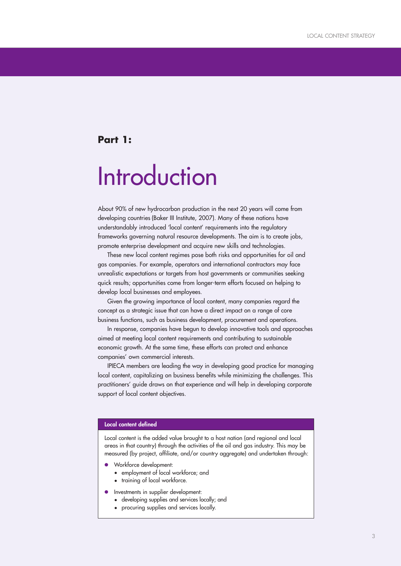## **Part 1:**

## **Introduction**

About 90% of new hydrocarbon production in the next 20 years will come from developing countries (Baker III Institute, 2007). Many of these nations have understandably introduced 'local content' requirements into the regulatory frameworks governing natural resource developments. The aim is to create jobs, promote enterprise development and acquire new skills and technologies.

These new local content regimes pose both risks and opportunities for oil and gas companies. For example, operators and international contractors may face unrealistic expectations or targets from host governments or communities seeking quick results; opportunities come from longer-term efforts focused on helping to develop local businesses and employees.

Given the growing importance of local content, many companies regard the concept as a strategic issue that can have a direct impact on a range of core business functions, such as business development, procurement and operations.

In response, companies have begun to develop innovative tools and approaches aimed at meeting local content requirements and contributing to sustainable economic growth. At the same time, these efforts can protect and enhance companies' own commercial interests.

IPIECA members are leading the way in developing good practice for managing local content, capitalizing on business benefits while minimizing the challenges. This practitioners' guide draws on that experience and will help in developing corporate support of local content objectives.

#### **Local content defined**

Local content is the added value brought to a host nation (and regional and local areas in that country) through the activities of the oil and gas industry. This may be measured (by project, affiliate, and/or country aggregate) and undertaken through:

- **●** Workforce development:
	- employment of local workforce; and
	- training of local workforce.
- **●** Investments in supplier development:
	- developing supplies and services locally; and
	- procuring supplies and services locally.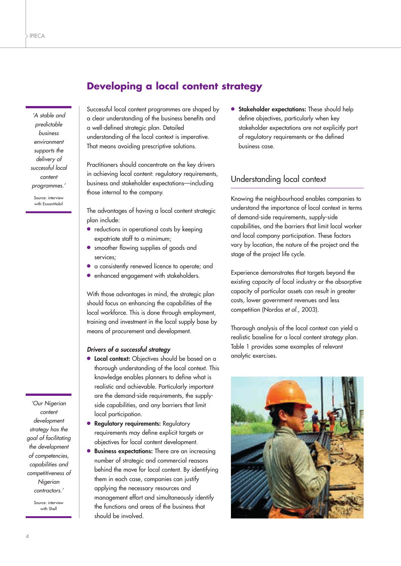## **Developing a local content strategy**

*'A stable and predictable business environment supports the delivery of successful local content programmes.'*

Source: interview with ExxonMobil

*'Our Nigerian content development strategy has the goal of facilitating the development of competencies, capabilities and competitiveness of Nigerian contractors.'*

> Source: interview with Shell

Successful local content programmes are shaped by a clear understanding of the business benefits and a well-defined strategic plan. Detailed understanding of the local context is imperative. That means avoiding prescriptive solutions.

Practitioners should concentrate on the key drivers in achieving local content: requidatory requirements, business and stakeholder expectations—including those internal to the company.

The advantages of having a local content strategic plan include:

- **●** reductions in operational costs by keeping expatriate staff to a minimum;
- **●** smoother flowing supplies of goods and services;
- **●** a consistently renewed licence to operate; and
- **●** enhanced engagement with stakeholders.

With those advantages in mind, the strategic plan should focus on enhancing the capabilities of the local workforce. This is done through employment, training and investment in the local supply base by means of procurement and development.

#### *Drivers of a successful strategy*

- **● Local context:** Objectives should be based on a thorough understanding of the local context. This knowledge enables planners to define what is realistic and achievable. Particularly important are the demand-side requirements, the supplyside capabilities, and any barriers that limit local participation.
- **● Regulatory requirements:** Regulatory requirements may define explicit targets or objectives for local content development.
- **Business expectations:** There are an increasing number of strategic and commercial reasons behind the move for local content. By identifying them in each case, companies can justify applying the necessary resources and management effort and simultaneously identify the functions and areas of the business that should be involved.

**● Stakeholder expectations:** These should help define objectives, particularly when key stakeholder expectations are not explicitly part of regulatory requirements or the defined business case.

## Understanding local context

Knowing the neighbourhood enables companies to understand the importance of local context in terms of demand-side requirements, supply-side capabilities, and the barriers that limit local worker and local company participation. These factors vary by location, the nature of the project and the stage of the project life cycle.

Experience demonstrates that targets beyond the existing capacity of local industry or the absorptive capacity of particular assets can result in greater costs, lower government revenues and less competition (Nordas *et al.*, 2003).

Thorough analysis of the local context can yield a realistic baseline for a local content strategy plan. Table 1 provides some examples of relevant analytic exercises.

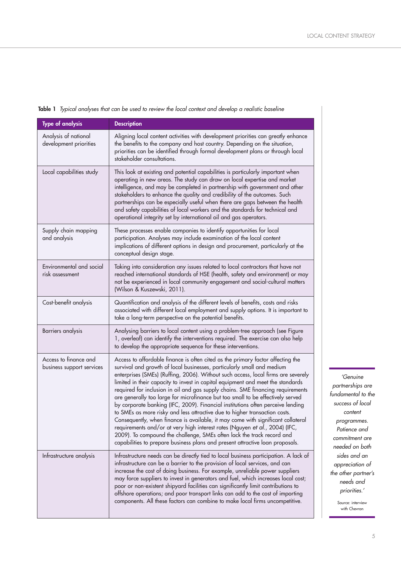| <b>Type of analysis</b>                            | <b>Description</b>                                                                                                                                                                                                                                                                                                                                                                                                                                                                                                                                                                                                                                                                                                                                                                                                                                                                                                                                                                                     |
|----------------------------------------------------|--------------------------------------------------------------------------------------------------------------------------------------------------------------------------------------------------------------------------------------------------------------------------------------------------------------------------------------------------------------------------------------------------------------------------------------------------------------------------------------------------------------------------------------------------------------------------------------------------------------------------------------------------------------------------------------------------------------------------------------------------------------------------------------------------------------------------------------------------------------------------------------------------------------------------------------------------------------------------------------------------------|
| Analysis of national<br>development priorities     | Aligning local content activities with development priorities can greatly enhance<br>the benefits to the company and host country. Depending on the situation,<br>priorities can be identified through formal development plans or through local<br>stakeholder consultations.                                                                                                                                                                                                                                                                                                                                                                                                                                                                                                                                                                                                                                                                                                                         |
| Local capabilities study                           | This look at existing and potential capabilities is particularly important when<br>operating in new areas. The study can draw on local expertise and market<br>intelligence, and may be completed in partnership with government and other<br>stakeholders to enhance the quality and credibility of the outcomes. Such<br>partnerships can be especially useful when there are gaps between the health<br>and safety capabilities of local workers and the standards for technical and<br>operational integrity set by international oil and gas operators.                                                                                                                                                                                                                                                                                                                                                                                                                                           |
| Supply chain mapping<br>and analysis               | These processes enable companies to identify opportunities for local<br>participation. Analyses may include examination of the local content<br>implications of different options in design and procurement, particularly at the<br>conceptual design stage.                                                                                                                                                                                                                                                                                                                                                                                                                                                                                                                                                                                                                                                                                                                                           |
| Environmental and social<br>risk assessment        | Taking into consideration any issues related to local contractors that have not<br>reached international standards of HSE (health, safety and environment) or may<br>not be experienced in local community engagement and social-cultural matters<br>(Wilson & Kuszewski, 2011).                                                                                                                                                                                                                                                                                                                                                                                                                                                                                                                                                                                                                                                                                                                       |
| Cost-benefit analysis                              | Quantification and analysis of the different levels of benefits, costs and risks<br>associated with different local employment and supply options. It is important to<br>take a long-term perspective on the potential benefits.                                                                                                                                                                                                                                                                                                                                                                                                                                                                                                                                                                                                                                                                                                                                                                       |
| Barriers analysis                                  | Analysing barriers to local content using a problem-tree approach (see Figure<br>1, overleaf) can identify the interventions required. The exercise can also help<br>to develop the appropriate sequence for these interventions.                                                                                                                                                                                                                                                                                                                                                                                                                                                                                                                                                                                                                                                                                                                                                                      |
| Access to finance and<br>business support services | Access to affordable finance is often cited as the primary factor affecting the<br>survival and growth of local businesses, particularly small and medium<br>enterprises (SMEs) (Ruffing, 2006). Without such access, local firms are severely<br>limited in their capacity to invest in capital equipment and meet the standards<br>required for inclusion in oil and gas supply chains. SME financing requirements<br>are generally too large for microfinance but too small to be effectively served<br>by corporate banking (IFC, 2009). Financial institutions often perceive lending<br>to SMEs as more risky and less attractive due to higher transaction costs.<br>Consequently, when finance is available, it may come with significant collateral<br>requirements and/or at very high interest rates (Nguyen et al., 2004) (IFC,<br>2009). To compound the challenge, SMEs often lack the track record and<br>capabilities to prepare business plans and present attractive loan proposals. |
| Infrastructure analysis                            | Infrastructure needs can be directly tied to local business participation. A lack of<br>infrastructure can be a barrier to the provision of local services, and can<br>increase the cost of doing business. For example, unreliable power suppliers<br>may force suppliers to invest in generators and fuel, which increases local cost;<br>poor or non-existent shipyard facilities can significantly limit contributions to<br>offshore operations; and poor transport links can add to the cost of importing<br>components. All these factors can combine to make local firms uncompetitive.                                                                                                                                                                                                                                                                                                                                                                                                        |

**Table 1** *Typical analyses that can be used to review the local context and develop a realistic baseline*

*'Genuine partnerships are fundamental to the success of local content programmes. Patience and commitment are needed on both sides and an appreciation of the other partner's needs and priorities.'*

> Source: interview with Chevron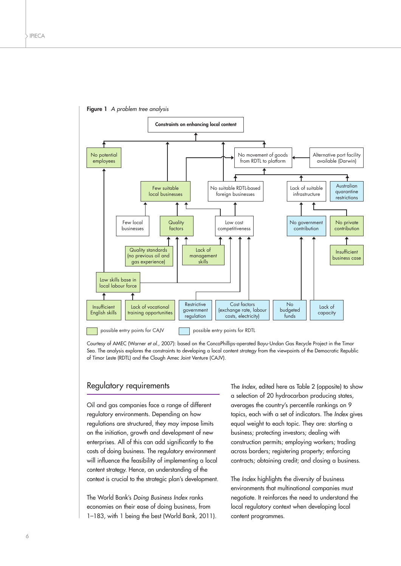



Courtesy of AMEC (Warner *et al.,* 2007): based on the ConcoPhillips-operated Bayu-Undan Gas Recycle Project in the Timor Sea. The analysis explores the constraints to developing a local content strategy from the viewpoints of the Democratic Republic of Timor Leste (RDTL) and the Clough Amec Joint Venture (CAJV).

#### Regulatory requirements

Oil and gas companies face a range of different regulatory environments. Depending on how regulations are structured, they may impose limits on the initiation, growth and development of new enterprises. All of this can add significantly to the costs of doing business. The regulatory environment will influence the feasibility of implementing a local content strategy. Hence, an understanding of the context is crucial to the strategic plan's development.

The World Bank's *Doing Business Index* ranks economies on their ease of doing business, from 1–183, with 1 being the best (World Bank, 2011). The *Index*, edited here as Table 2 (opposite) to show a selection of 20 hydrocarbon producing states, averages the country's percentile rankings on 9 topics, each with a set of indicators. The *Index* gives equal weight to each topic. They are: starting a business; protecting investors; dealing with construction permits; employing workers; trading across borders; registering property; enforcing contracts; obtaining credit; and closing a business.

The *Index* highlights the diversity of business environments that multinational companies must negotiate. It reinforces the need to understand the local regulatory context when developing local content programmes.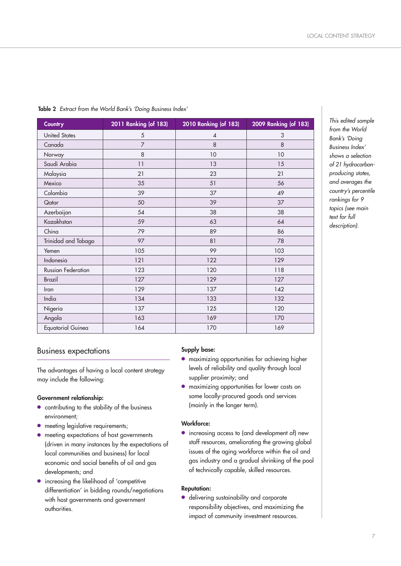| <b>Country</b>            | 2011 Ranking (of 183) | 2010 Ranking (of 183) | 2009 Ranking (of 183) |  |
|---------------------------|-----------------------|-----------------------|-----------------------|--|
| <b>United States</b>      | 5                     | 4                     | 3                     |  |
| Canada                    | $\overline{7}$        | 8                     | 8                     |  |
| Norway                    | 8                     | 10                    | 10                    |  |
| Saudi Arabia              | 11                    | 13                    | 15                    |  |
| Malaysia                  | 21                    | 23                    | 21                    |  |
| Mexico                    | 35                    | 51                    | 56                    |  |
| Colombia                  | 39                    | 37                    | 49                    |  |
| Qatar                     | 50                    | 39                    | 37                    |  |
| Azerbaijan                | 54                    | 38                    | 38                    |  |
| Kazakhstan                | 59                    | 63                    | 64                    |  |
| China                     | 79                    | 89                    | 86                    |  |
| Trinidad and Tobago       | 97                    | 81                    | 78                    |  |
| Yemen                     | 105                   | 99                    | 103                   |  |
| Indonesia                 | 121                   | 122                   | 129                   |  |
| <b>Russian Federation</b> | 123                   | 120                   | 118                   |  |
| <b>Brazil</b>             | 127                   | 129                   | 127                   |  |
| Iran                      | 129                   | 137                   | 142                   |  |
| India                     | 134                   | 133                   | 132                   |  |
| Nigeria                   | 137                   | 125                   | 120                   |  |
| Angola                    | 163                   | 169                   | 170                   |  |
| <b>Equatorial Guinea</b>  | 164                   | 170                   | 169                   |  |

**Table 2** *Extract from the World Bank's 'Doing Business Index'*

#### Business expectations

The advantages of having a local content strategy may include the following:

#### **Government relationship:**

- **●** contributing to the stability of the business environment;
- **•** meeting legislative requirements;
- **●** meeting expectations of host governments (driven in many instances by the expectations of local communities and business) for local economic and social benefits of oil and gas developments; and
- **●** increasing the likelihood of 'competitive differentiation' in bidding rounds/negotiations with host governments and government authorities.

#### **Supply base:**

- **●** maximizing opportunities for achieving higher levels of reliability and quality through local supplier proximity; and
- **●** maximizing opportunities for lower costs on some locally-procured goods and services (mainly in the longer term).

#### **Workforce:**

**●** increasing access to (and development of) new staff resources, ameliorating the growing global issues of the aging workforce within the oil and gas industry and a gradual shrinking of the pool of technically capable, skilled resources.

#### **Reputation:**

**●** delivering sustainability and corporate responsibility objectives, and maximizing the impact of community investment resources.

*This edited sample from the World Bank's 'Doing Business Index' shows a selection of 21 hydrocarbonproducing states, and averages the country's percentile rankings for 9 topics (see main text for full description).*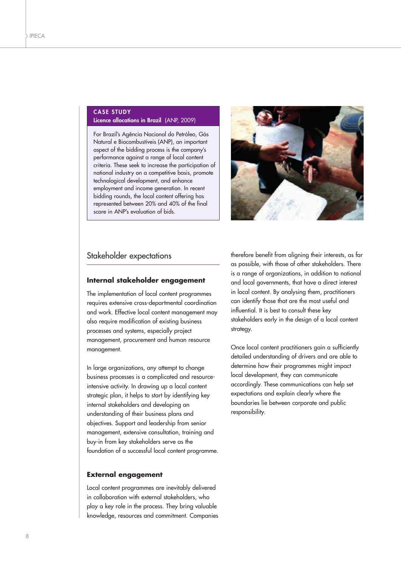#### **CASE STUDY Licence allocations in Brazil** (ANP, 2009)

For Brazil's Agência Nacional do Petróleo, Gás Natural e Biocombustíveis (ANP), an important aspect of the bidding process is the company's performance against a range of local content criteria. These seek to increase the participation of national industry on a competitive basis, promote technological development, and enhance employment and income generation. In recent bidding rounds, the local content offering has represented between 20% and 40% of the final score in ANP's evaluation of bids.



#### Stakeholder expectations

#### **Internal stakeholder engagement**

The implementation of local content programmes requires extensive cross-departmental coordination and work. Effective local content management may also require modification of existing business processes and systems, especially project management, procurement and human resource management.

In large organizations, any attempt to change business processes is a complicated and resourceintensive activity. In drawing up a local content strategic plan, it helps to start by identifying key internal stakeholders and developing an understanding of their business plans and objectives. Support and leadership from senior management, extensive consultation, training and buy-in from key stakeholders serve as the foundation of a successful local content programme.

#### **External engagement**

Local content programmes are inevitably delivered in collaboration with external stakeholders, who play a key role in the process. They bring valuable knowledge, resources and commitment. Companies therefore benefit from aligning their interests, as far as possible, with those of other stakeholders. There is a range of organizations, in addition to national and local governments, that have a direct interest in local content. By analysing them, practitioners can identify those that are the most useful and influential. It is best to consult these key stakeholders early in the design of a local content strategy.

Once local content practitioners gain a sufficiently detailed understanding of drivers and are able to determine how their programmes might impact local development, they can communicate accordingly. These communications can help set expectations and explain clearly where the boundaries lie between corporate and public responsibility.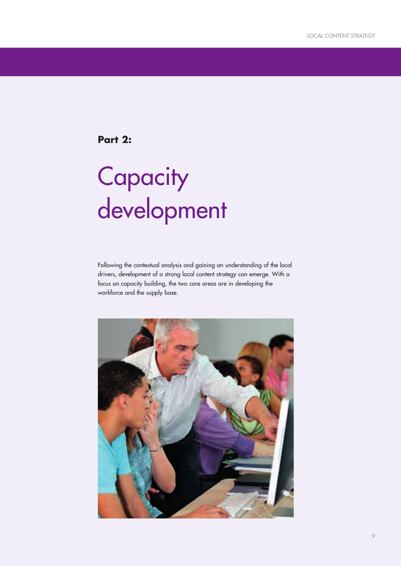**Part 2:**

# **Capacity** development

Following the contextual analysis and gaining an understanding of the local drivers, development of a strong local content strategy can emerge. With a focus on capacity building, the two core areas are in developing the workforce and the supply base.

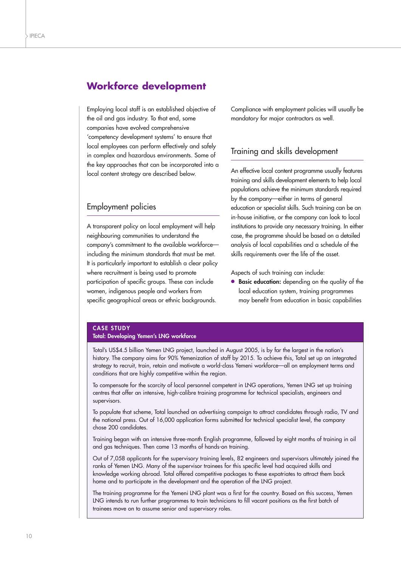## **Workforce development**

Employing local staff is an established objective of the oil and gas industry. To that end, some companies have evolved comprehensive 'competency development systems' to ensure that local employees can perform effectively and safely in complex and hazardous environments. Some of the key approaches that can be incorporated into a local content strategy are described below.

#### Employment policies

A transparent policy on local employment will help neighbouring communities to understand the company's commitment to the available workforce including the minimum standards that must be met. It is particularly important to establish a clear policy where recruitment is being used to promote participation of specific groups. These can include women, indigenous people and workers from specific geographical areas or ethnic backgrounds.

Compliance with employment policies will usually be mandatory for major contractors as well.

#### Training and skills development

An effective local content programme usually features training and skills development elements to help local populations achieve the minimum standards required by the company—either in terms of general education or specialist skills. Such training can be an in-house initiative, or the company can look to local institutions to provide any necessary training. In either case, the programme should be based on a detailed analysis of local capabilities and a schedule of the skills requirements over the life of the asset.

Aspects of such training can include:

**● Basic education:** depending on the quality of the local education system, training programmes may benefit from education in basic capabilities

#### **CASE STUDY**

#### **Total: Developing Yemen's LNG workforce**

Total's US\$4.5 billion Yemen LNG project, launched in August 2005, is by far the largest in the nation's history. The company aims for 90% Yemenization of staff by 2015. To achieve this, Total set up an integrated strategy to recruit, train, retain and motivate a world-class Yemeni workforce—all on employment terms and conditions that are highly competitive within the region.

To compensate for the scarcity of local personnel competent in LNG operations, Yemen LNG set up training centres that offer an intensive, high-calibre training programme for technical specialists, engineers and supervisors.

To populate that scheme, Total launched an advertising campaign to attract candidates through radio, TV and the national press. Out of 16,000 application forms submitted for technical specialist level, the company chose 200 candidates.

Training began with an intensive three-month English programme, followed by eight months of training in oil and gas techniques. Then came 13 months of hands-on training.

Out of 7,058 applicants for the supervisory training levels, 82 engineers and supervisors ultimately joined the ranks of Yemen LNG. Many of the supervisor trainees for this specific level had acquired skills and knowledge working abroad. Total offered competitive packages to these expatriates to attract them back home and to participate in the development and the operation of the LNG project.

The training programme for the Yemeni LNG plant was a first for the country. Based on this success, Yemen LNG intends to run further programmes to train technicians to fill vacant positions as the first batch of trainees move on to assume senior and supervisory roles.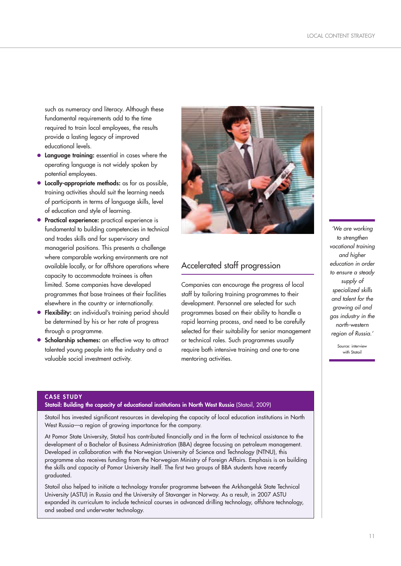such as numeracy and literacy. Although these fundamental requirements add to the time required to train local employees, the results provide a lasting legacy of improved educational levels.

- **● Language training:** essential in cases where the operating language is not widely spoken by potential employees.
- **● Locally-appropriate methods:** as far as possible, training activities should suit the learning needs of participants in terms of language skills, level of education and style of learning.
- **● Practical experience:** practical experience is fundamental to building competencies in technical and trades skills and for supervisory and managerial positions. This presents a challenge where comparable working environments are not available locally, or for offshore operations where capacity to accommodate trainees is often limited. Some companies have developed programmes that base trainees at their facilities elsewhere in the country or internationally.
- **● Flexibility:** an individual's training period should be determined by his or her rate of progress through a programme.
- **● Scholarship schemes:** an effective way to attract talented young people into the industry and a valuable social investment activity.



## Accelerated staff progression

Companies can encourage the progress of local staff by tailoring training programmes to their development. Personnel are selected for such programmes based on their ability to handle a rapid learning process, and need to be carefully selected for their suitability for senior management or technical roles. Such programmes usually require both intensive training and one-to-one mentoring activities.

*'We are working to strengthen vocational training and higher education in order to ensure a steady supply of specialized skills and talent for the growing oil and gas industry in the north-western region of Russia.'*

> Source: interview with Statoil

#### **CASE STUDY**

#### **Statoil: Building the capacity of educational institutions in North West Russia (Statoil, 2009)**

Statoil has invested significant resources in developing the capacity of local education institutions in North West Russia—a region of growing importance for the company.

At Pomor State University, Statoil has contributed financially and in the form of technical assistance to the development of a Bachelor of Business Administration (BBA) degree focusing on petroleum management. Developed in collaboration with the Norwegian University of Science and Technology (NTNU), this programme also receives funding from the Norwegian Ministry of Foreign Affairs. Emphasis is on building the skills and capacity of Pomor University itself. The first two groups of BBA students have recently graduated.

Statoil also helped to initiate a technology transfer programme between the Arkhangelsk State Technical University (ASTU) in Russia and the University of Stavanger in Norway. As a result, in 2007 ASTU expanded its curriculum to include technical courses in advanced drilling technology, offshore technology, and seabed and underwater technology.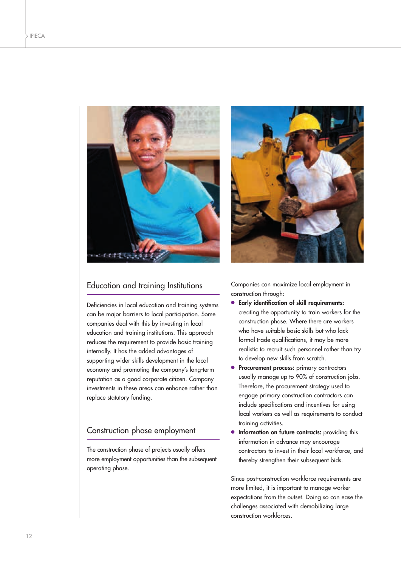

#### Education and training Institutions

Deficiencies in local education and training systems can be major barriers to local participation. Some companies deal with this by investing in local education and training institutions. This approach reduces the requirement to provide basic training internally. It has the added advantages of supporting wider skills development in the local economy and promoting the company's long-term reputation as a good corporate citizen. Company investments in these areas can enhance rather than replace statutory funding.

#### Construction phase employment

The construction phase of projects usually offers more employment opportunities than the subsequent operating phase.



Companies can maximize local employment in construction through:

- **● Early identification of skill requirements:** creating the opportunity to train workers for the construction phase. Where there are workers who have suitable basic skills but who lack formal trade qualifications, it may be more realistic to recruit such personnel rather than try to develop new skills from scratch.
- **● Procurement process:** primary contractors usually manage up to 90% of construction jobs. Therefore, the procurement strategy used to engage primary construction contractors can include specifications and incentives for using local workers as well as requirements to conduct training activities.
- **Information on future contracts:** providing this information in advance may encourage contractors to invest in their local workforce, and thereby strengthen their subsequent bids.

Since post-construction workforce requirements are more limited, it is important to manage worker expectations from the outset. Doing so can ease the challenges associated with demobilizing large construction workforces.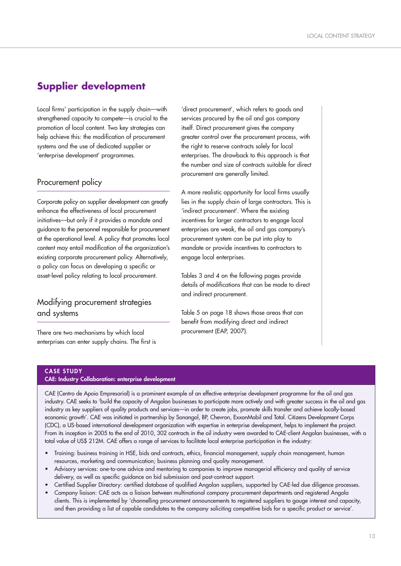## **Supplier development**

Local firms' participation in the supply chain—with strengthened capacity to compete—is crucial to the promotion of local content. Two key strategies can help achieve this: the modification of procurement systems and the use of dedicated supplier or 'enterprise development' programmes.

#### Procurement policy

Corporate policy on supplier development can greatly enhance the effectiveness of local procurement initiatives—but only if it provides a mandate and guidance to the personnel responsible for procurement at the operational level. A policy that promotes local content may entail modification of the organization's existing corporate procurement policy. Alternatively, a policy can focus on developing a specific or asset-level policy relating to local procurement.

### Modifying procurement strategies and systems

There are two mechanisms by which local enterprises can enter supply chains. The first is

'direct procurement', which refers to goods and services procured by the oil and gas company itself. Direct procurement gives the company greater control over the procurement process, with the right to reserve contracts solely for local enterprises. The drawback to this approach is that the number and size of contracts suitable for direct procurement are generally limited.

A more realistic opportunity for local firms usually lies in the supply chain of large contractors. This is 'indirect procurement'. Where the existing incentives for larger contractors to engage local enterprises are weak, the oil and gas company's procurement system can be put into play to mandate or provide incentives to contractors to engage local enterprises.

Tables 3 and 4 on the following pages provide details of modifications that can be made to direct and indirect procurement.

Table 5 on page 18 shows those areas that can benefit from modifying direct and indirect procurement (EAP, 2007).

#### **CASE STUDY CAE: Industry Collaboration: enterprise development**

CAE (Centro de Apoio Empresarial) is a prominent example of an effective enterprise development programme for the oil and gas industry. CAE seeks to 'build the capacity of Angolan businesses to participate more actively and with greater success in the oil and gas industry as key suppliers of quality products and services—in order to create jobs, promote skills transfer and achieve locally-based economic growth'. CAE was initiated in partnership by Sonangol, BP, Chevron, ExxonMobil and Total. Citizens Development Corps (CDC), a US-based international development organization with expertise in enterprise development, helps to implement the project. From its inception in 2005 to the end of 2010, 302 contracts in the oil industry were awarded to CAE-client Angolan businesses, with a total value of US\$ 212M. CAE offers a range of services to facilitate local enterprise participation in the industry:

- Training: business training in HSE, bids and contracts, ethics, financial management, supply chain management, human resources, marketing and communication; business planning and quality management.
- Advisory services: one-to-one advice and mentoring to companies to improve managerial efficiency and quality of service delivery, as well as specific guidance on bid submission and post-contract support.
- Certified Supplier Directory: certified database of qualified Angolan suppliers, supported by CAE-led due diligence processes.
- Company liaison: CAE acts as a liaison between multinational company procurement departments and registered Angola clients. This is implemented by 'channelling procurement announcements to registered suppliers to gauge interest and capacity, and then providing a list of capable candidates to the company soliciting competitive bids for a specific product or service'.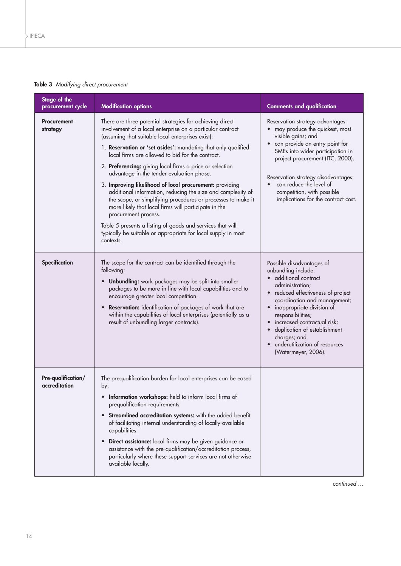#### **Table 3** *Modifying direct procurement*

| Stage of the<br>procurement cycle   | <b>Modification options</b>                                                                                                                                                                                                                                                                                                                                                                                                                                                                                                                                                                                                                                                                                                                                                                                                      | <b>Comments and qualification</b>                                                                                                                                                                                                                                                                                                                                                     |
|-------------------------------------|----------------------------------------------------------------------------------------------------------------------------------------------------------------------------------------------------------------------------------------------------------------------------------------------------------------------------------------------------------------------------------------------------------------------------------------------------------------------------------------------------------------------------------------------------------------------------------------------------------------------------------------------------------------------------------------------------------------------------------------------------------------------------------------------------------------------------------|---------------------------------------------------------------------------------------------------------------------------------------------------------------------------------------------------------------------------------------------------------------------------------------------------------------------------------------------------------------------------------------|
| <b>Procurement</b><br>strategy      | There are three potential strategies for achieving direct<br>involvement of a local enterprise on a particular contract<br>(assuming that suitable local enterprises exist):<br>1. Reservation or 'set asides': mandating that only qualified<br>local firms are allowed to bid for the contract.<br>2. Preferencing: giving local firms a price or selection<br>advantage in the tender evaluation phase.<br>3. Improving likelihood of local procurement: providing<br>additional information, reducing the size and complexity of<br>the scope, or simplifying procedures or processes to make it<br>more likely that local firms will participate in the<br>procurement process.<br>Table 5 presents a listing of goods and services that will<br>typically be suitable or appropriate for local supply in most<br>contexts. | Reservation strategy advantages:<br>• may produce the quickest, most<br>visible gains; and<br>• can provide an entry point for<br>SMEs into wider participation in<br>project procurement (ITC, 2000).<br>Reservation strategy disadvantages:<br>can reduce the level of<br>$\bullet$<br>competition, with possible<br>implications for the contract cost.                            |
| Specification                       | The scope for the contract can be identified through the<br>following:<br>• Unbundling: work packages may be split into smaller<br>packages to be more in line with local capabilities and to<br>encourage greater local competition.<br>Reservation: identification of packages of work that are<br>$\bullet$<br>within the capabilities of local enterprises (potentially as a<br>result of unbundling larger contracts).                                                                                                                                                                                                                                                                                                                                                                                                      | Possible disadvantages of<br>unbundling include:<br>· additional contract<br>administration;<br>• reduced effectiveness of project<br>coordination and management;<br>inappropriate division of<br>$\bullet$<br>responsibilities;<br>increased contractual risk;<br>duplication of establishment<br>$\bullet$<br>charges; and<br>underutilization of resources<br>(Watermeyer, 2006). |
| Pre-qualification/<br>accreditation | The prequalification burden for local enterprises can be eased<br>by:<br>Information workshops: held to inform local firms of<br>prequalification requirements.<br>• Streamlined accreditation systems: with the added benefit<br>of facilitating internal understanding of locally-available<br>capabilities.<br><b>Direct assistance:</b> local firms may be given guidance or<br>$\bullet$<br>assistance with the pre-qualification/accreditation process,<br>particularly where these support services are not otherwise<br>available locally.                                                                                                                                                                                                                                                                               |                                                                                                                                                                                                                                                                                                                                                                                       |

*continued …*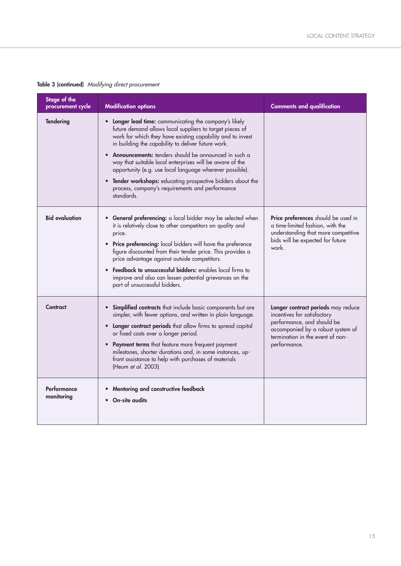| Stage of the<br>procurement cycle | <b>Modification options</b>                                                                                                                                                                                                                                                                                                                                                                                                                                                                                                                          | <b>Comments and qualification</b>                                                                                                                                                        |
|-----------------------------------|------------------------------------------------------------------------------------------------------------------------------------------------------------------------------------------------------------------------------------------------------------------------------------------------------------------------------------------------------------------------------------------------------------------------------------------------------------------------------------------------------------------------------------------------------|------------------------------------------------------------------------------------------------------------------------------------------------------------------------------------------|
| Tendering                         | Longer lead time: communicating the company's likely<br>future demand allows local suppliers to target pieces of<br>work for which they have existing capability and to invest<br>in building the capability to deliver future work.<br>Announcements: tenders should be announced in such a<br>way that suitable local enterprises will be aware of the<br>opportunity (e.g. use local language wherever possible).<br>• Tender workshops: educating prospective bidders about the<br>process, company's requirements and performance<br>standards. |                                                                                                                                                                                          |
| <b>Bid evaluation</b>             | General preferencing: a local bidder may be selected when<br>it is relatively close to other competitors on quality and<br>price.<br>Price preferencing: local bidders will have the preference<br>$\bullet$<br>figure discounted from their tender price. This provides a<br>price advantage against outside competitors.<br>Feedback to unsuccessful bidders: enables local firms to<br>improve and also can lessen potential grievances on the<br>part of unsuccessful bidders.                                                                   | Price preferences should be used in<br>a time-limited fashion, with the<br>understanding that more competitive<br>bids will be expected for future<br>work.                              |
| Contract                          | • Simplified contracts that include basic components but are<br>simpler, with fewer options, and written in plain language.<br>Longer contract periods that allow firms to spread capital<br>$\bullet$<br>or fixed costs over a longer period.<br>Payment terms that feature more frequent payment<br>milestones, shorter durations and, in some instances, up-<br>front assistance to help with purchases of materials<br>(Heum et al. 2003).                                                                                                       | Longer contract periods may reduce<br>incentives for satisfactory<br>performance, and should be<br>accompanied by a robust system of<br>termination in the event of non-<br>performance. |
| Performance<br>monitoring         | Mentoring and constructive feedback<br>On-site audits                                                                                                                                                                                                                                                                                                                                                                                                                                                                                                |                                                                                                                                                                                          |

#### **Table 3 (continued)** *Modifying direct procurement*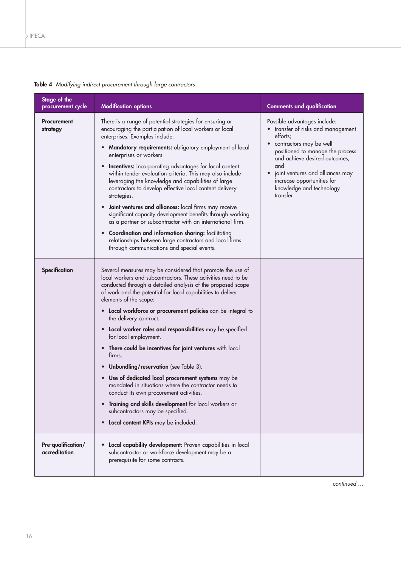| Stage of the<br>procurement cycle   | <b>Modification options</b>                                                                                                                                                                                                                                                                                                                                                                                                                                                                                                                                                                                                                                                                                                                                                                                                                                                                                                 | <b>Comments and qualification</b>                                                                                                                                                                                                                                                                                          |
|-------------------------------------|-----------------------------------------------------------------------------------------------------------------------------------------------------------------------------------------------------------------------------------------------------------------------------------------------------------------------------------------------------------------------------------------------------------------------------------------------------------------------------------------------------------------------------------------------------------------------------------------------------------------------------------------------------------------------------------------------------------------------------------------------------------------------------------------------------------------------------------------------------------------------------------------------------------------------------|----------------------------------------------------------------------------------------------------------------------------------------------------------------------------------------------------------------------------------------------------------------------------------------------------------------------------|
| <b>Procurement</b><br>strategy      | There is a range of potential strategies for ensuring or<br>encouraging the participation of local workers or local<br>enterprises. Examples include:<br><b>Mandatory requirements:</b> obligatory employment of local<br>$\bullet$<br>enterprises or workers.<br><b>Incentives:</b> incorporating advantages for local content<br>$\bullet$<br>within tender evaluation criteria. This may also include<br>leveraging the knowledge and capabilities of large<br>contractors to develop effective local content delivery<br>strategies.<br>Joint ventures and alliances: local firms may receive<br>$\bullet$<br>significant capacity development benefits through working<br>as a partner or subcontractor with an international firm.<br><b>Coordination and information sharing:</b> facilitating<br>$\bullet$<br>relationships between large contractors and local firms<br>through communications and special events. | Possible advantages include:<br>• transfer of risks and management<br>efforts;<br>contractors may be well<br>$\bullet$<br>positioned to manage the process<br>and achieve desired outcomes;<br>and<br>joint ventures and alliances may<br>$\bullet$<br>increase opportunities for<br>knowledge and technology<br>transfer. |
| Specification                       | Several measures may be considered that promote the use of<br>local workers and subcontractors. These activities need to be<br>conducted through a detailed analysis of the proposed scope<br>of work and the potential for local capabilities to deliver<br>elements of the scope:<br>• Local workforce or procurement policies can be integral to<br>the delivery contract.<br>• Local worker roles and responsibilities may be specified<br>for local employment.<br>• There could be incentives for joint ventures with local<br>firms.<br>Unbundling/reservation (see Table 3).<br>$\bullet$<br>Use of dedicated local procurement systems may be<br>$\bullet$<br>mandated in situations where the contractor needs to<br>conduct its own procurement activities.<br>Training and skills development for local workers or<br>subcontractors may be specified.<br>Local content KPIs may be included.<br>$\bullet$      |                                                                                                                                                                                                                                                                                                                            |
| Pre-qualification/<br>accreditation | Local capability development: Proven capabilities in local<br>$\bullet$<br>subcontractor or workforce development may be a<br>prerequisite for some contracts.                                                                                                                                                                                                                                                                                                                                                                                                                                                                                                                                                                                                                                                                                                                                                              |                                                                                                                                                                                                                                                                                                                            |

#### **Table 4** *Modifying indirect procurement through large contractors*

*continued …*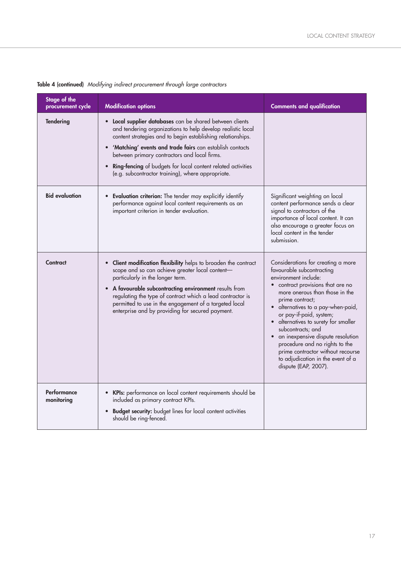| Stage of the<br>procurement cycle | <b>Modification options</b>                                                                                                                                                                                                                                                                                                                                                                                               | <b>Comments and qualification</b>                                                                                                                                                                                                                                                                                                                                                                                                                                                  |
|-----------------------------------|---------------------------------------------------------------------------------------------------------------------------------------------------------------------------------------------------------------------------------------------------------------------------------------------------------------------------------------------------------------------------------------------------------------------------|------------------------------------------------------------------------------------------------------------------------------------------------------------------------------------------------------------------------------------------------------------------------------------------------------------------------------------------------------------------------------------------------------------------------------------------------------------------------------------|
| <b>Tendering</b>                  | • Local supplier databases can be shared between clients<br>and tendering organizations to help develop realistic local<br>content strategies and to begin establishing relationships.<br>'Matching' events and trade fairs can establish contacts<br>between primary contractors and local firms.<br>• Ring-fencing of budgets for local content related activities<br>(e.g. subcontractor training), where appropriate. |                                                                                                                                                                                                                                                                                                                                                                                                                                                                                    |
| <b>Bid evaluation</b>             | • Evaluation criterion: The tender may explicitly identify<br>performance against local content requirements as an<br>important criterion in tender evaluation.                                                                                                                                                                                                                                                           | Significant weighting on local<br>content performance sends a clear<br>signal to contractors of the<br>importance of local content. It can<br>also encourage a greater focus on<br>local content in the tender<br>submission.                                                                                                                                                                                                                                                      |
| Contract                          | • Client modification flexibility helps to broaden the contract<br>scope and so can achieve greater local content-<br>particularly in the longer term.<br>A favourable subcontracting environment results from<br>regulating the type of contract which a lead contractor is<br>permitted to use in the engagement of a targeted local<br>enterprise and by providing for secured payment.                                | Considerations for creating a more<br>favourable subcontracting<br>environment include:<br>contract provisions that are no<br>more onerous than those in the<br>prime contract;<br>alternatives to a pay-when-paid,<br>or pay-if-paid, system;<br>alternatives to surety for smaller<br>subcontracts; and<br>an inexpensive dispute resolution<br>procedure and no rights to the<br>prime contractor without recourse<br>to adjudication in the event of a<br>dispute (EAP, 2007). |
| Performance<br>monitoring         | • KPIs: performance on local content requirements should be<br>included as primary contract KPIs.<br>• Budget security: budget lines for local content activities<br>should be ring-fenced.                                                                                                                                                                                                                               |                                                                                                                                                                                                                                                                                                                                                                                                                                                                                    |

**Table 4 (continued)** *Modifying indirect procurement through large contractors*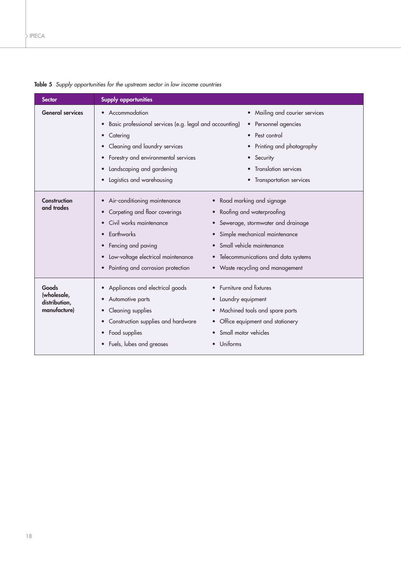| <b>Sector</b>                                         | <b>Supply opportunities</b>                                                                                                                                                                                                                                                                                       |                                                                                                                                                                                                                                                      |
|-------------------------------------------------------|-------------------------------------------------------------------------------------------------------------------------------------------------------------------------------------------------------------------------------------------------------------------------------------------------------------------|------------------------------------------------------------------------------------------------------------------------------------------------------------------------------------------------------------------------------------------------------|
| <b>General services</b>                               | Accommodation<br>$\bullet$<br>Basic professional services (e.g. legal and accounting)<br>$\bullet$<br>Catering<br>$\bullet$<br>Cleaning and laundry services<br>$\bullet$<br>Forestry and environmental services<br>$\bullet$<br>Landscaping and gardening<br>$\bullet$<br>Logistics and warehousing<br>$\bullet$ | Mailing and courier services<br>$\bullet$<br>Personnel agencies<br>$\bullet$<br>Pest control<br>Printing and photography<br>Security<br><b>Translation services</b><br>Transportation services<br>$\bullet$                                          |
| Construction<br>and trades                            | Air-conditioning maintenance<br>$\bullet$<br>Carpeting and floor coverings<br>$\bullet$<br>Civil works maintenance<br>$\bullet$<br>Earthworks<br>$\bullet$<br>Fencing and paving<br>Low-voltage electrical maintenance<br>$\bullet$<br>Painting and corrosion protection                                          | • Road marking and signage<br>Roofing and waterproofing<br>$\bullet$<br>Sewerage, stormwater and drainage<br>Simple mechanical maintenance<br>Small vehicle maintenance<br>• Telecommunications and data systems<br>• Waste recycling and management |
| Goods<br>(wholesale,<br>distribution,<br>manufacture) | Appliances and electrical goods<br>Automotive parts<br>$\bullet$<br>Cleaning supplies<br>$\bullet$<br>Construction supplies and hardware<br>$\bullet$<br>Food supplies<br>$\bullet$<br>Fuels, lubes and greases<br>$\bullet$                                                                                      | Furniture and fixtures<br>Laundry equipment<br>$\bullet$<br>Machined tools and spare parts<br>$\bullet$<br>Office equipment and stationery<br>Small motor vehicles<br>Uniforms                                                                       |

**Table 5** *Supply opportunities for the upstream sector in low income countries*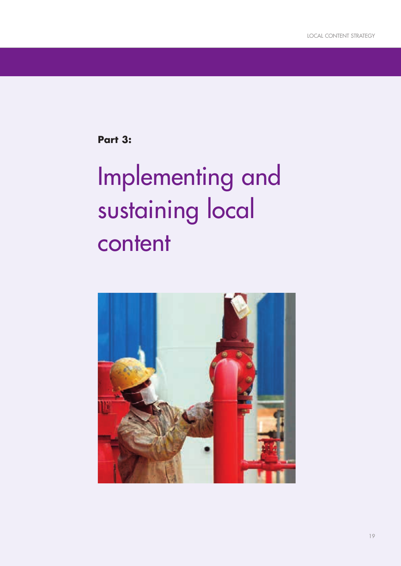**Part 3:**

# Implementing and sustaining local content

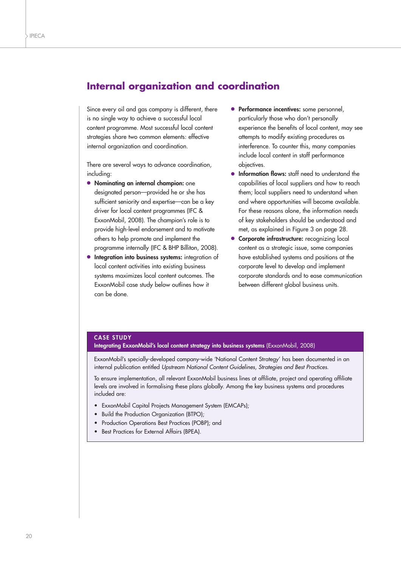## **Internal organization and coordination**

Since every oil and gas company is different, there is no single way to achieve a successful local content programme. Most successful local content strategies share two common elements: effective internal organization and coordination.

There are several ways to advance coordination, including:

- **● Nominating an internal champion:** one designated person—provided he or she has sufficient seniority and expertise—can be a key driver for local content programmes (IFC & ExxonMobil, 2008). The champion's role is to provide high-level endorsement and to motivate others to help promote and implement the programme internally (IFC & BHP Billiton, 2008).
- **● Integration into business systems:** integration of local content activities into existing business systems maximizes local content outcomes. The ExxonMobil case study below outlines how it can be done.
- **● Performance incentives:** some personnel, particularly those who don't personally experience the benefits of local content, may see attempts to modify existing procedures as interference. To counter this, many companies include local content in staff performance objectives.
- **● Information flows:** staff need to understand the capabilities of local suppliers and how to reach them; local suppliers need to understand when and where opportunities will become available. For these reasons alone, the information needs of key stakeholders should be understood and met, as explained in Figure 3 on page 28.
- **● Corporate infrastructure:** recognizing local content as a strategic issue, some companies have established systems and positions at the corporate level to develop and implement corporate standards and to ease communication between different global business units.

#### **CASE STUDY**

**Integrating ExxonMobil's local content strategy into business systems** (ExxonMobil, 2008)

ExxonMobil's specially-developed company-wide 'National Content Strategy' has been documented in an internal publication entitled *Upstream National Content Guidelines, Strategies and Best Practices*.

To ensure implementation, all relevant ExxonMobil business lines at affiliate, project and operating affiliate levels are involved in formalising these plans globally. Among the key business systems and procedures included are:

- ExxonMobil Capital Projects Management System (EMCAPs);
- Build the Production Organization (BTPO);
- Production Operations Best Practices (POBP); and
- Best Practices for External Affairs (BPEA).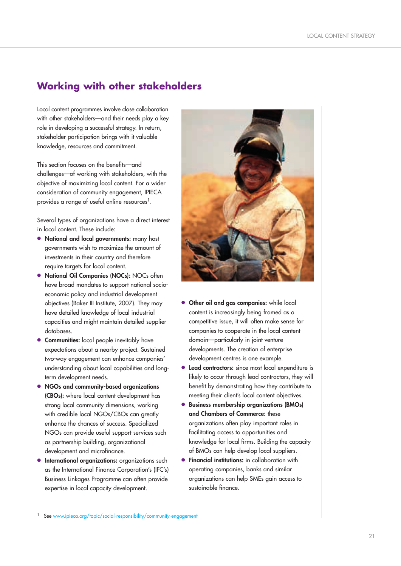## **Working with other stakeholders**

Local content programmes involve close collaboration with other stakeholders—and their needs play a key role in developing a successful strategy. In return, stakeholder participation brings with it valuable knowledge, resources and commitment.

This section focuses on the benefits—and challenges—of working with stakeholders, with the objective of maximizing local content. For a wider consideration of community engagement, IPIECA provides a range of useful online resources<sup>1</sup>.

Several types of organizations have a direct interest in local content. These include:

- **● National and local governments:** many host governments wish to maximize the amount of investments in their country and therefore require targets for local content.
- **● National Oil Companies (NOCs):** NOCs often have broad mandates to support national socioeconomic policy and industrial development objectives (Baker III Institute, 2007). They may have detailed knowledge of local industrial capacities and might maintain detailed supplier databases.
- **Communities:** local people inevitably have expectations about a nearby project. Sustained two-way engagement can enhance companies' understanding about local capabilities and longterm development needs.
- **● NGOs and community-based organizations (CBOs):** where local content development has strong local community dimensions, working with credible local NGOs/CBOs can greatly enhance the chances of success. Specialized NGOs can provide useful support services such as partnership building, organizational development and microfinance.
- **International organizations:** organizations such as the International Finance Corporation's (IFC's) Business Linkages Programme can often provide expertise in local capacity development.



- **● Other oil and gas companies:** while local content is increasingly being framed as a competitive issue, it will often make sense for companies to cooperate in the local content domain—particularly in joint venture developments. The creation of enterprise development centres is one example.
- **● Lead contractors:** since most local expenditure is likely to occur through lead contractors, they will benefit by demonstrating how they contribute to meeting their client's local content objectives.
- **● Business membership organizations (BMOs) and Chambers of Commerce:** these organizations often play important roles in facilitating access to opportunities and knowledge for local firms. Building the capacity of BMOs can help develop local suppliers.
- **● Financial institutions:** in collaboration with operating companies, banks and similar organizations can help SMEs gain access to sustainable finance.

See www.ipieca.org/topic/social-responsibility/community-engagement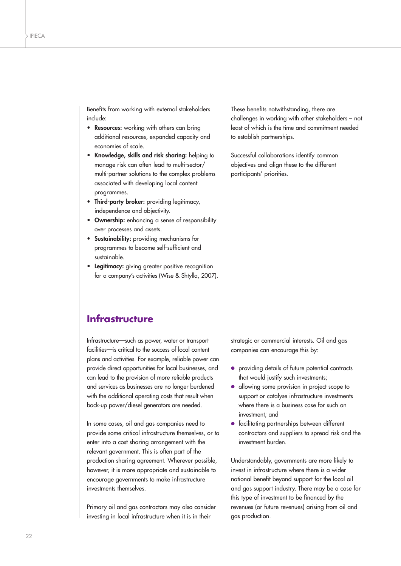Benefits from working with external stakeholders include:

- **Resources:** working with others can bring additional resources, expanded capacity and economies of scale.
- **Knowledge, skills and risk sharing:** helping to manage risk can often lead to multi-sector/ multi-partner solutions to the complex problems associated with developing local content programmes.
- **Third-party broker:** providing legitimacy, independence and objectivity.
- **Ownership:** enhancing a sense of responsibility over processes and assets.
- **Sustainability:** providing mechanisms for programmes to become self-sufficient and sustainable.
- **Legitimacy:** giving greater positive recognition for a company's activities (Wise & Shtylla, 2007).

These benefits notwithstanding, there are challenges in working with other stakeholders – not least of which is the time and commitment needed to establish partnerships.

Successful collaborations identify common objectives and align these to the different participants' priorities.

## **Infrastructure**

Infrastructure—such as power, water or transport facilities—is critical to the success of local content plans and activities. For example, reliable power can provide direct opportunities for local businesses, and can lead to the provision of more reliable products and services as businesses are no longer burdened with the additional operating costs that result when back-up power/diesel generators are needed.

In some cases, oil and gas companies need to provide some critical infrastructure themselves, or to enter into a cost sharing arrangement with the relevant government. This is often part of the production sharing agreement. Wherever possible, however, it is more appropriate and sustainable to encourage governments to make infrastructure investments themselves.

Primary oil and gas contractors may also consider investing in local infrastructure when it is in their

strategic or commercial interests. Oil and gas companies can encourage this by:

- **●** providing details of future potential contracts that would justify such investments;
- **●** allowing some provision in project scope to support or catalyse infrastructure investments where there is a business case for such an investment; and
- **●** facilitating partnerships between different contractors and suppliers to spread risk and the investment burden.

Understandably, governments are more likely to invest in infrastructure where there is a wider national benefit beyond support for the local oil and gas support industry. There may be a case for this type of investment to be financed by the revenues (or future revenues) arising from oil and gas production.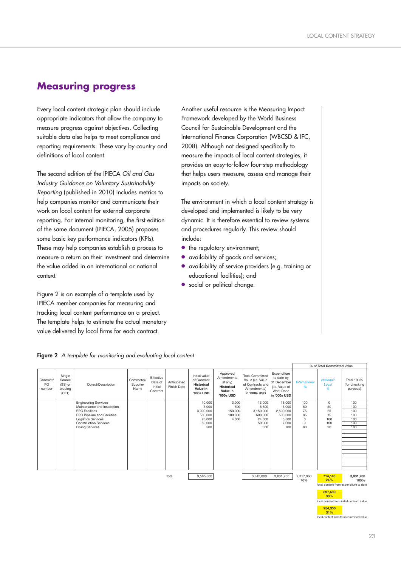## **Measuring progress**

Every local content strategic plan should include appropriate indicators that allow the company to measure progress against objectives. Collecting suitable data also helps to meet compliance and reporting requirements. These vary by country and definitions of local content.

The second edition of the IPIECA *Oil and Gas Industry Guidance on Voluntary Sustainability Reporting* (published in 2010) includes metrics to help companies monitor and communicate their work on local content for external corporate reporting. For internal monitoring, the first edition of the same document (IPIECA, 2005) proposes some basic key performance indicators (KPIs). These may help companies establish a process to measure a return on their investment and determine the value added in an international or national context.

Figure 2 is an example of a template used by IPIECA member companies for measuring and tracking local content performance on a project. The template helps to estimate the actual monetary value delivered by local firms for each contract.

Another useful resource is the Measuring Impact Framework developed by the World Business Council for Sustainable Development and the International Finance Corporation (WBCSD & IFC, 2008). Although not designed specifically to measure the impacts of local content strategies, it provides an easy-to-follow four-step methodology that helps users measure, assess and manage their impacts on society.

The environment in which a local content strategy is developed and implemented is likely to be very dynamic. It is therefore essential to review systems and procedures regularly. This review should include:

- **•** the regulatory environment;
- **●** availability of goods and services;
- **●** availability of service providers (e.g. training or educational facilities); and
- social or political change.

|                           |                                                 |                                                    |                                 |                                             |                            |                                                                            |                                                                                  |                                                                                                |                                                                                         |                           | % of Total Committed Value     |                                                |
|---------------------------|-------------------------------------------------|----------------------------------------------------|---------------------------------|---------------------------------------------|----------------------------|----------------------------------------------------------------------------|----------------------------------------------------------------------------------|------------------------------------------------------------------------------------------------|-----------------------------------------------------------------------------------------|---------------------------|--------------------------------|------------------------------------------------|
| Contract/<br>PO<br>number | Single<br>Source<br>(SS) or<br>bidding<br>(CFT) | Object/Description                                 | Contractor/<br>Supplier<br>Name | Effective<br>Date of<br>initial<br>Contract | Anticipated<br>Finish Date | Initial value<br>of Contract<br><b>Historical</b><br>Value in<br>'000s USD | Approved<br>Amendments<br>(if any)<br><b>Historical</b><br>Value in<br>'000s USD | <b>Total Committed</b><br>Value (i.e. Value<br>of Contracts and<br>Amendments)<br>in '000s USD | Expenditure<br>to date by<br>31 December<br>(i.e. Value of<br>Work Done<br>in '000s USD | <b>International</b><br>% | <b>National/</b><br>Local<br>% | <b>Total 100%</b><br>(for checking<br>purpose) |
|                           |                                                 | <b>Engineering Services</b>                        |                                 |                                             |                            | 10,000                                                                     | 3,000                                                                            | 13,000                                                                                         | 15,000                                                                                  | 100                       | 0                              | 100                                            |
|                           |                                                 | Maintenance and Inspection                         |                                 |                                             |                            | 5,000                                                                      | 500                                                                              | 5,500                                                                                          | 3,000                                                                                   | 50                        | 50                             | 100                                            |
|                           |                                                 | <b>EPC Facilities</b>                              |                                 |                                             |                            | 3,000,000                                                                  | 150,000                                                                          | 3,150,000                                                                                      | 2,500,000                                                                               | 75                        | 25                             | 100                                            |
|                           |                                                 | EPC Pipeline and Facilities                        |                                 |                                             |                            | 500,000                                                                    | 100,000                                                                          | 600,000                                                                                        | 500,000                                                                                 | 85                        | 15                             | 100                                            |
|                           |                                                 | Logistics Services<br><b>Construction Services</b> |                                 |                                             |                            | 20,000                                                                     | 4,000                                                                            | 24,000                                                                                         | 5,500                                                                                   | $\mathbf 0$<br>$\Omega$   | 100<br>100                     | 100<br>100                                     |
|                           |                                                 | <b>Diving Services</b>                             |                                 |                                             |                            | 50,000<br>500                                                              |                                                                                  | 50,000<br>500                                                                                  | 7,000<br>700                                                                            | 80                        | 20                             | 100                                            |
|                           |                                                 |                                                    |                                 |                                             |                            |                                                                            |                                                                                  |                                                                                                |                                                                                         |                           |                                |                                                |
|                           |                                                 |                                                    |                                 |                                             |                            |                                                                            |                                                                                  |                                                                                                |                                                                                         |                           |                                |                                                |
|                           |                                                 |                                                    |                                 |                                             |                            |                                                                            |                                                                                  |                                                                                                |                                                                                         |                           |                                |                                                |
|                           |                                                 |                                                    |                                 |                                             |                            |                                                                            |                                                                                  |                                                                                                |                                                                                         |                           |                                |                                                |
|                           |                                                 |                                                    |                                 |                                             |                            |                                                                            |                                                                                  |                                                                                                |                                                                                         |                           |                                |                                                |
|                           |                                                 |                                                    |                                 |                                             |                            |                                                                            |                                                                                  |                                                                                                |                                                                                         |                           |                                |                                                |
|                           |                                                 |                                                    |                                 |                                             |                            |                                                                            |                                                                                  |                                                                                                |                                                                                         |                           |                                |                                                |
|                           |                                                 |                                                    |                                 |                                             |                            |                                                                            |                                                                                  |                                                                                                |                                                                                         |                           |                                |                                                |
|                           |                                                 |                                                    |                                 |                                             |                            |                                                                            |                                                                                  |                                                                                                |                                                                                         |                           |                                |                                                |
|                           |                                                 |                                                    |                                 |                                             |                            |                                                                            |                                                                                  |                                                                                                |                                                                                         |                           |                                |                                                |
|                           |                                                 |                                                    |                                 |                                             | Total                      | 3,585,500                                                                  |                                                                                  | 3,843,000                                                                                      | 3,031,200                                                                               | 2,317,060                 | 714,140                        | 3,031,200                                      |
|                           |                                                 |                                                    |                                 |                                             |                            |                                                                            |                                                                                  |                                                                                                |                                                                                         | 76%                       | 24%                            | 100%                                           |

**Figure 2** *A template for monitoring and evaluating local content*

local content from expe

**897,600 30%**

local content from initial contract values **954,350**

local content from total committed value

**31%**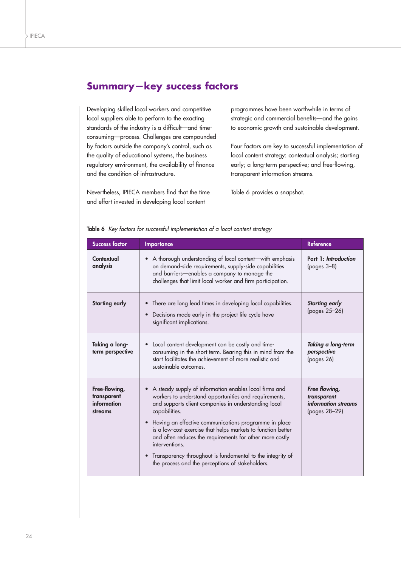## **Summary—key success factors**

Developing skilled local workers and competitive local suppliers able to perform to the exacting standards of the industry is a difficult—and timeconsuming—process. Challenges are compounded by factors outside the company's control, such as the quality of educational systems, the business regulatory environment, the availability of finance and the condition of infrastructure.

Nevertheless, IPIECA members find that the time and effort invested in developing local content

programmes have been worthwhile in terms of strategic and commercial benefits—and the gains to economic growth and sustainable development.

Four factors are key to successful implementation of local content strategy: contextual analysis; starting early; a long-term perspective; and free-flowing, transparent information streams.

Table 6 provides a snapshot.

| <b>Success factor</b>                                  | Importance                                                                                                                                                                                                                                                                                                                                                                                                                                                                                                                     | <b>Reference</b>                                                     |
|--------------------------------------------------------|--------------------------------------------------------------------------------------------------------------------------------------------------------------------------------------------------------------------------------------------------------------------------------------------------------------------------------------------------------------------------------------------------------------------------------------------------------------------------------------------------------------------------------|----------------------------------------------------------------------|
| Contextual<br>analysis                                 | A thorough understanding of local context-with emphasis<br>on demand-side requirements, supply-side capabilities<br>and barriers-enables a company to manage the<br>challenges that limit local worker and firm participation.                                                                                                                                                                                                                                                                                                 | Part 1: Introduction<br>$(pages 3-8)$                                |
| <b>Starting early</b>                                  | • There are long lead times in developing local capabilities.<br><b>Starting early</b><br>(pages 25-26)<br>Decisions made early in the project life cycle have<br>$\bullet$<br>significant implications.                                                                                                                                                                                                                                                                                                                       |                                                                      |
| Taking a long-<br>term perspective                     | Local content development can be costly and time-<br>consuming in the short term. Bearing this in mind from the<br>start facilitates the achievement of more realistic and<br>sustainable outcomes.                                                                                                                                                                                                                                                                                                                            | Taking a long-term<br>perspective<br>(pages 26)                      |
| Free-flowing,<br>transparent<br>information<br>streams | A steady supply of information enables local firms and<br>workers to understand opportunities and requirements,<br>and supports client companies in understanding local<br>capabilities.<br>Having an effective communications programme in place<br>is a low-cost exercise that helps markets to function better<br>and often reduces the requirements for other more costly<br>interventions.<br>Transparency throughout is fundamental to the integrity of<br>$\bullet$<br>the process and the perceptions of stakeholders. | Free flowing,<br>transparent<br>information streams<br>(pages 28-29) |

#### **Table 6** *Key factors for successful implementation of a local content strategy*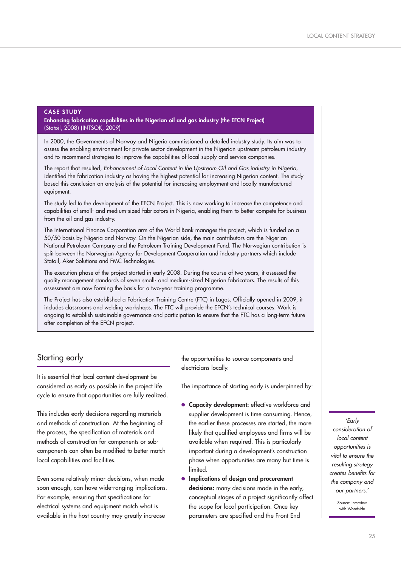#### **CASE STUDY**

**Enhancing fabrication capabilities in the Nigerian oil and gas industry (the EFCN Project)** (Statoil, 2008) (INTSOK, 2009)

In 2000, the Governments of Norway and Nigeria commissioned a detailed industry study. Its aim was to assess the enabling environment for private sector development in the Nigerian upstream petroleum industry and to recommend strategies to improve the capabilities of local supply and service companies.

The report that resulted, *Enhancement of Local Content in the Upstream Oil and Gas industry in Nigeria*, identified the fabrication industry as having the highest potential for increasing Nigerian content. The study based this conclusion on analysis of the potential for increasing employment and locally manufactured equipment.

The study led to the development of the EFCN Project. This is now working to increase the competence and capabilities of small- and medium-sized fabricators in Nigeria, enabling them to better compete for business from the oil and gas industry.

The International Finance Corporation arm of the World Bank manages the project, which is funded on a 50/50 basis by Nigeria and Norway. On the Nigerian side, the main contributors are the Nigerian National Petroleum Company and the Petroleum Training Development Fund. The Norwegian contribution is split between the Norwegian Agency for Development Cooperation and industry partners which include Statoil, Aker Solutions and FMC Technologies.

The execution phase of the project started in early 2008. During the course of two years, it assessed the quality management standards of seven small- and medium-sized Nigerian fabricators. The results of this assessment are now forming the basis for a two-year training programme.

The Project has also established a Fabrication Training Centre (FTC) in Lagos. Officially opened in 2009, it includes classrooms and welding workshops. The FTC will provide the EFCN's technical courses. Work is ongoing to establish sustainable governance and participation to ensure that the FTC has a long-term future after completion of the EFCN project.

#### Starting early

It is essential that local content development be considered as early as possible in the project life cycle to ensure that opportunities are fully realized.

This includes early decisions regarding materials and methods of construction. At the beginning of the process, the specification of materials and methods of construction for components or subcomponents can often be modified to better match local capabilities and facilities.

Even some relatively minor decisions, when made soon enough, can have wide-ranging implications. For example, ensuring that specifications for electrical systems and equipment match what is available in the host country may greatly increase

the opportunities to source components and electricians locally.

The importance of starting early is underpinned by:

- **● Capacity development:** effective workforce and supplier development is time consuming. Hence, the earlier these processes are started, the more likely that qualified employees and firms will be available when required. This is particularly important during a development's construction phase when opportunities are many but time is **limited**
- **● Implications of design and procurement decisions:** many decisions made in the early, conceptual stages of a project significantly affect the scope for local participation. Once key parameters are specified and the Front End

*'Early consideration of local content opportunities is vital to ensure the resulting strategy creates benefits for the company and our partners.'* 

> Source: interview with Woodside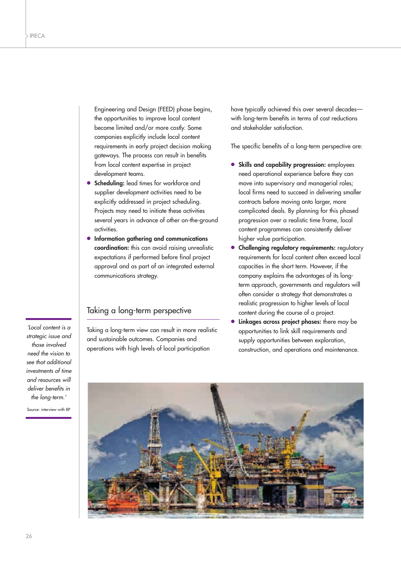Engineering and Design (FEED) phase begins, the opportunities to improve local content become limited and/or more costly. Some companies explicitly include local content requirements in early project decision making gateways. The process can result in benefits from local content expertise in project development teams.

- **● Scheduling:** lead times for workforce and supplier development activities need to be explicitly addressed in project scheduling. Projects may need to initiate these activities several years in advance of other on-the-ground activities.
- **● Information gathering and communications coordination:** this can avoid raising unrealistic expectations if performed before final project approval and as part of an integrated external communications strategy.

#### Taking a long-term perspective

Taking a long-term view can result in more realistic and sustainable outcomes. Companies and operations with high levels of local participation

have typically achieved this over several decades with long-term benefits in terms of cost reductions and stakeholder satisfaction.

The specific benefits of a long-term perspective are:

- **● Skills and capability progression:** employees need operational experience before they can move into supervisory and managerial roles; local firms need to succeed in delivering smaller contracts before moving onto larger, more complicated deals. By planning for this phased progression over a realistic time frame, local content programmes can consistently deliver higher value participation.
- **Challenging regulatory requirements:** regulatory requirements for local content often exceed local capacities in the short term. However, if the company explains the advantages of its longterm approach, governments and regulators will often consider a strategy that demonstrates a realistic progression to higher levels of local content during the course of a project.
- **Linkages across project phases:** there may be opportunities to link skill requirements and supply opportunities between exploration, construction, and operations and maintenance.



*'Local content is a strategic issue and those involved need the vision to see that additional investments of time and resources will deliver benefits in the long-term.'*

Source: interview with BP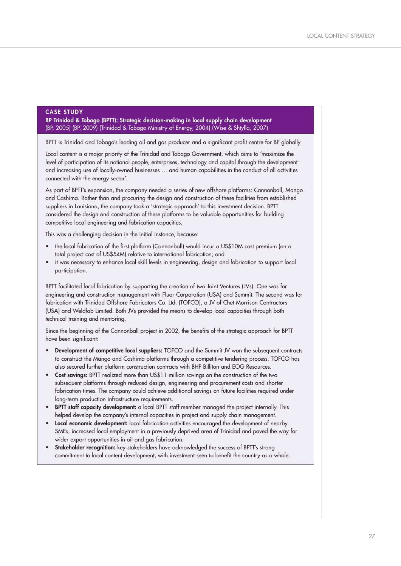#### **CASE STUDY**

**BP Trinidad & Tobago (BPTT): Strategic decision-making in local supply chain development**  (BP, 2005) (BP, 2009) (Trinidad & Tobago Ministry of Energy, 2004) (Wise & Shtylla, 2007)

BPTT is Trinidad and Tobago's leading oil and gas producer and a significant profit centre for BP globally.

Local content is a major priority of the Trinidad and Tobago Government, which aims to 'maximize the level of participation of its national people, enterprises, technology and capital through the development and increasing use of locally-owned businesses … and human capabilities in the conduct of all activities connected with the energy sector'.

As part of BPTT's expansion, the company needed a series of new offshore platforms: Cannonball, Mango and Cashima. Rather than and procuring the design and construction of these facilities from established suppliers in Louisiana, the company took a 'strategic approach' to this investment decision. BPTT considered the design and construction of these platforms to be valuable opportunities for building competitive local engineering and fabrication capacities.

This was a challenging decision in the initial instance, because:

- the local fabrication of the first platform (Cannonball) would incur a US\$10M cost premium (on a total project cost of US\$54M) relative to international fabrication; and
- it was necessary to enhance local skill levels in engineering, design and fabrication to support local participation.

BPTT facilitated local fabrication by supporting the creation of two Joint Ventures (JVs). One was for engineering and construction management with Fluor Corporation (USA) and Summit. The second was for fabrication with Trinidad Offshore Fabricators Co. Ltd. (TOFCO), a JV of Chet Morrison Contractors (USA) and Weldfab Limited. Both JVs provided the means to develop local capacities through both technical training and mentoring.

Since the beginning of the Cannonball project in 2002, the benefits of the strategic approach for BPTT have been significant:

- **Development of competitive local suppliers:** TOFCO and the Summit JV won the subsequent contracts to construct the Mango and Cashima platforms through a competitive tendering process. TOFCO has also secured further platform construction contracts with BHP Billiton and EOG Resources.
- **Cost savings:** BPTT realized more than US\$11 million savings on the construction of the two subsequent platforms through reduced design, engineering and procurement costs and shorter fabrication times. The company could achieve additional savings on future facilities required under long-term production infrastructure requirements.
- **BPTT staff capacity development:** a local BPTT staff member managed the project internally. This helped develop the company's internal capacities in project and supply chain management.
- **Local economic development:** local fabrication activities encouraged the development of nearby SMEs, increased local employment in a previously deprived area of Trinidad and paved the way for wider export opportunities in oil and gas fabrication.
- **Stakeholder recognition:** key stakeholders have acknowledged the success of BPTT's strong commitment to local content development, with investment seen to benefit the country as a whole.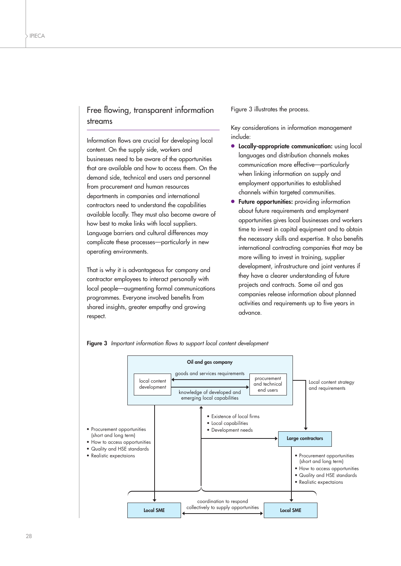### Free flowing, transparent information streams

Information flows are crucial for developing local content. On the supply side, workers and businesses need to be aware of the opportunities that are available and how to access them. On the demand side, technical end users and personnel from procurement and human resources departments in companies and international contractors need to understand the capabilities available locally. They must also become aware of how best to make links with local suppliers. Language barriers and cultural differences may complicate these processes—particularly in new operating environments.

That is why it is advantageous for company and contractor employees to interact personally with local people—augmenting formal communications programmes. Everyone involved benefits from shared insights, greater empathy and growing respect.

Figure 3 illustrates the process.

Key considerations in information management include:

- **● Locally-appropriate communication:** using local languages and distribution channels makes communication more effective—particularly when linking information on supply and employment opportunities to established channels within targeted communities.
- **Future opportunities:** providing information about future requirements and employment opportunities gives local businesses and workers time to invest in capital equipment and to obtain the necessary skills and expertise. It also benefits international contracting companies that may be more willing to invest in training, supplier development, infrastructure and joint ventures if they have a clearer understanding of future projects and contracts. Some oil and gas companies release information about planned activities and requirements up to five years in advance.



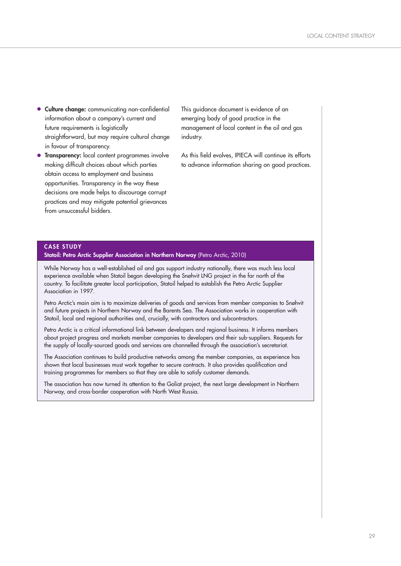- **● Culture change:** communicating non-confidential information about a company's current and future requirements is logistically straightforward, but may require cultural change in favour of transparency.
- **● Transparency:** local content programmes involve making difficult choices about which parties obtain access to employment and business opportunities. Transparency in the way these decisions are made helps to discourage corrupt practices and may mitigate potential grievances from unsuccessful bidders.

This guidance document is evidence of an emerging body of good practice in the management of local content in the oil and gas industry.

As this field evolves, IPIECA will continue its efforts to advance information sharing on good practices.

#### **CASE STUDY**

**Statoil: Petro Arctic Supplier Association in Northern Norway (Petro Arctic, 2010)** 

While Norway has a well-established oil and gas support industry nationally, there was much less local experience available when Statoil began developing the Snøhvit LNG project in the far north of the country. To facilitate greater local participation, Statoil helped to establish the Petro Arctic Supplier Association in 1997.

Petro Arctic's main aim is to maximize deliveries of goods and services from member companies to Snøhvit and future projects in Northern Norway and the Barents Sea. The Association works in cooperation with Statoil, local and regional authorities and, crucially, with contractors and subcontractors.

Petro Arctic is a critical informational link between developers and regional business. It informs members about project progress and markets member companies to developers and their sub-suppliers. Requests for the supply of locally-sourced goods and services are channelled through the association's secretariat.

The Association continues to build productive networks among the member companies, as experience has shown that local businesses must work together to secure contracts. It also provides qualification and training programmes for members so that they are able to satisfy customer demands.

The association has now turned its attention to the Goliat project, the next large development in Northern Norway, and cross-border cooperation with North West Russia.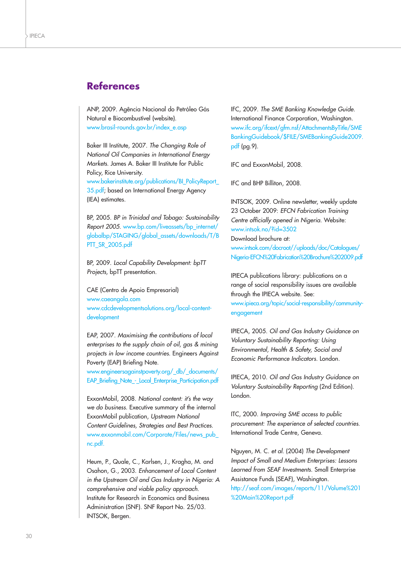## **References**

ANP, 2009. Agência Nacional do Petróleo Gás Natural e Biocombustível (website). www.brasil-rounds.gov.br/index\_e.asp

Baker III Institute, 2007. *The Changing Role of National Oil Companies in International Energy Markets.* James A. Baker III Institute for Public Policy, Rice University.

www.bakerinstitute.org/publications/BI\_PolicyReport\_ 35.pdf; based on International Energy Agency (IEA) estimates.

BP, 2005. *BP in Trinidad and Tobago: Sustainability Report 2005*. www.bp.com/liveassets/bp\_internet/ globalbp/STAGING/global\_assets/downloads/T/B PTT\_SR\_2005.pdf

BP, 2009. *Local Capability Development: bpTT Projects,* bpTT presentation.

CAE (Centro de Apoio Empresarial) www.caeangola.com www.cdcdevelopmentsolutions.org/local-contentdevelopment

EAP, 2007. *Maximising the contributions of local enterprises to the supply chain of oil, gas & mining projects in low income countries.* Engineers Against Poverty (EAP) Briefing Note.

www.engineersagainstpoverty.org/\_db/\_documents/ EAP\_Briefing\_Note\_-\_Local\_Enterprise\_Participation.pdf

ExxonMobil, 2008. *National content: it's the way we do business*. Executive summary of the internal ExxonMobil publication, *Upstream National Content Guidelines, Strategies and Best Practices*. www.exxonmobil.com/Corporate/Files/news\_pub\_ nc.pdf.

Heum, P., Quale, C., Karlsen, J., Kragha, M. and Osahon, G., 2003. *Enhancement of Local Content in the Upstream Oil and Gas Industry in Nigeria: A comprehensive and viable policy approach.* Institute for Research in Economics and Business Administration (SNF). SNF Report No. 25/03. INTSOK, Bergen.

IFC, 2009. *The SME Banking Knowledge Guide*. International Finance Corporation, Washington. www.ifc.org/ifcext/gfm.nsf/AttachmentsByTitle/SME BankingGuidebook/\$FILE/SMEBankingGuide2009. pdf (pg.9).

IFC and ExxonMobil, 2008.

IFC and BHP Billiton, 2008.

INTSOK, 2009. Online newsletter, weekly update 23 October 2009: *EFCN Fabrication Training Centre officially opened in Nigeria*. Website: www.intsok.no/?id=3502

Download brochure at: www.intsok.com/docroot//uploads/doc/Catalogues/ Nigeria-EFCN%20Fabrication%20Brochure%202009.pdf

IPIECA publications library: publications on a range of social responsibility issues are available through the IPIECA website. See:

www.ipieca.org/topic/social-responsibility/communityengagement

IPIECA, 2005. *Oil and Gas Industry Guidance on Voluntary Sustainability Reporting: Using Environmental, Health & Safety, Social and Economic Performance Indicators*. London.

IPIECA, 2010. *Oil and Gas Industry Guidance on Voluntary Sustainability Reporting* (2nd Edition). London.

ITC, 2000. *Improving SME access to public procurement: The experience of selected countries*. International Trade Centre, Geneva.

Nguyen, M. C. *et al.* (2004) *The Development Impact of Small and Medium Enterprises: Lessons Learned from SEAF Investments*. Small Enterprise Assistance Funds (SEAF), Washington.

http://seaf.com/images/reports/11/Volume%201 %20Main%20Report.pdf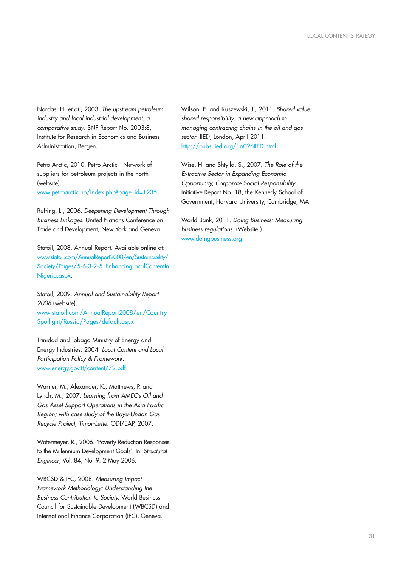Nordas, H. *et al.,* 2003. *The upstream petroleum industry and local industrial development: a comparative study*. SNF Report No. 2003:8, Institute for Research in Economics and Business Administration, Bergen.

Petro Arctic, 2010. Petro Arctic—Network of suppliers for petroleum projects in the north (website).

www.petroarctic.no/index.php?page\_id=1235

Ruffing, L., 2006. *Deepening Development Through Business Linkages*. United Nations Conference on Trade and Development, New York and Geneva.

Statoil, 2008. Annual Report. Available online at: www.statoil.com/AnnualReport2008/en/Sustainability/ Society/Pages/5-6-3-2-5\_EnhancingLocalContentIn Nigeria.aspx.

Statoil, 2009. *Annual and Sustainability Report 2008* (website). www.statoil.com/AnnualReport2008/en/Country Spotlight/Russia/Pages/default.aspx

Trinidad and Tobago Ministry of Energy and Energy Industries, 2004. *Local Content and Local Participation Policy & Framework*. www.energy.gov.tt/content/72.pdf

Warner, M., Alexander, K., Matthews, P. and Lynch, M., 2007. *Learning from AMEC's Oil and Gas Asset Support Operations in the Asia Pacific Region; with case study of the Bayu-Undan Gas Recycle Project, Timor-Leste*. ODI/EAP, 2007.

Watermeyer, R., 2006. 'Poverty Reduction Responses to the Millennium Development Goals'. In: *Structural Engineer*, Vol. 84, No. 9. 2 May 2006.

WBCSD & IFC, 2008. *Measuring Impact Framework Methodology: Understanding the Business Contribution to Society.* World Business Council for Sustainable Development (WBCSD) and International Finance Corporation (IFC), Geneva.

Wilson, E. and Kuszewski, J., 2011. *Shared value, shared responsibility: a new approach to managing contracting chains in the oil and gas sector*. IIED, London, April 2011. http://pubs.iied.org/16026IIED.html

Wise, H. and Shtylla, S., 2007. *The Role of the Extractive Sector in Expanding Economic Opportunity, Corporate Social Responsibility*. Initiative Report No. 18, the Kennedy School of Government, Harvard University, Cambridge, MA.

World Bank, 2011. *Doing Business: Measuring business regulations*. (Website.) www.doingbusiness.org